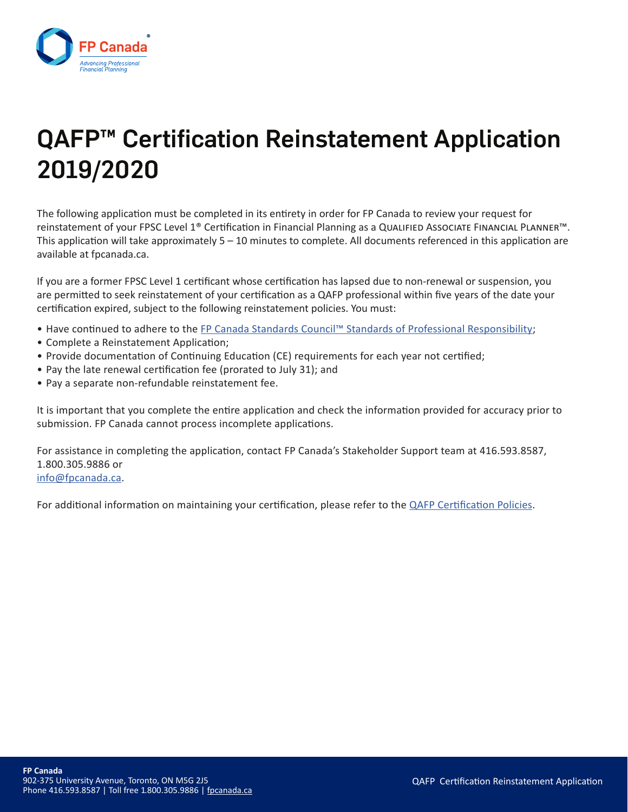

# QAFP<sup>™</sup> Certification Reinstatement Application 2019/2020

The following application must be completed in its entirety in order for FP Canada to review your request for reinstatement of your FPSC Level 1® Certification in Financial Planning as a Qualified Associate Financial Planner™. This application will take approximately  $5 - 10$  minutes to complete. All documents referenced in this application are available at fpcanada.ca.

If you are a former FPSC Level 1 certificant whose certification has lapsed due to non-renewal or suspension, you are permitted to seek reinstatement of your certification as a QAFP professional within five years of the date your certification expired, subject to the following reinstatement policies. You must:

- Have continued to adhere to the FP Canada Standards Council™ Standards of Professional Responsibility;
- Complete a Reinstatement Application;
- Provide documentation of Continuing Education (CE) requirements for each year not certified;
- Pay the late renewal certification fee (prorated to July 31); and
- Pay a separate non-refundable reinstatement fee.

It is important that you complete the entire application and check the information provided for accuracy prior to submission. FP Canada cannot process incomplete applications.

For assistance in completing the application, contact FP Canada's Stakeholder Support team at 416.593.8587, 1.800.305.9886 or info@fpcanada.ca.

For additional information on maintaining your certification, please refer to the QAFP Certification Policies.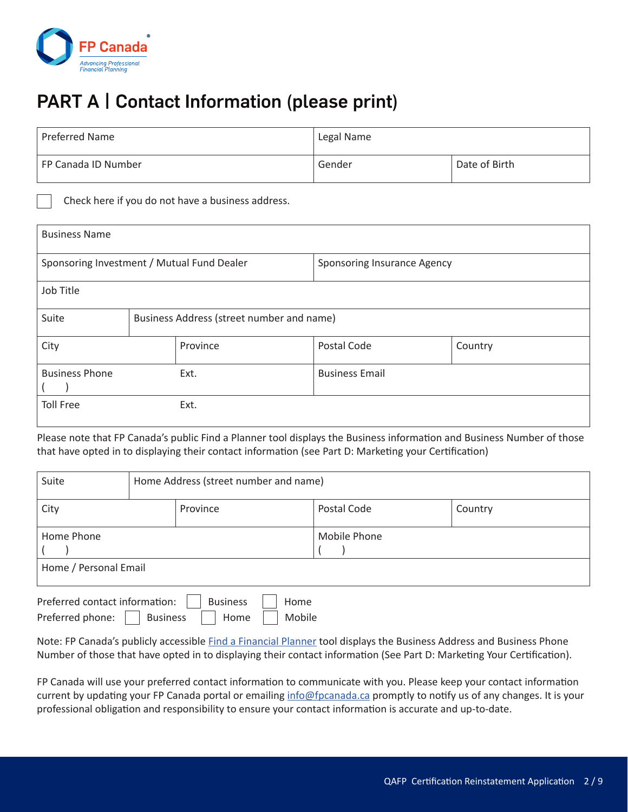

## PART A | Contact Information (please print)

| Preferred Name      | Legal Name |               |  |
|---------------------|------------|---------------|--|
| FP Canada ID Number | Gender     | Date of Birth |  |

Check here if you do not have a business address.

| <b>Business Name</b>                       |  |                                           |                             |         |  |
|--------------------------------------------|--|-------------------------------------------|-----------------------------|---------|--|
| Sponsoring Investment / Mutual Fund Dealer |  |                                           | Sponsoring Insurance Agency |         |  |
| Job Title                                  |  |                                           |                             |         |  |
| Suite                                      |  | Business Address (street number and name) |                             |         |  |
| City                                       |  | Province                                  | Postal Code                 | Country |  |
| <b>Business Phone</b>                      |  | Ext.                                      | <b>Business Email</b>       |         |  |
| <b>Toll Free</b>                           |  | Ext.                                      |                             |         |  |

Please note that FP Canada's public Find a Planner tool displays the Business information and Business Number of those that have opted in to displaying their contact information (see Part D: Marketing your Certification)

| Suite                 |  | Home Address (street number and name) |              |         |  |  |
|-----------------------|--|---------------------------------------|--------------|---------|--|--|
| City                  |  | Province                              | Postal Code  | Country |  |  |
| Home Phone            |  |                                       | Mobile Phone |         |  |  |
| Home / Personal Email |  |                                       |              |         |  |  |

| Preferred contact information: |                 | <b>Business</b> | Home   |
|--------------------------------|-----------------|-----------------|--------|
| Preferred phone:               | <b>Business</b> | Home            | Mobile |

Note: FP Canada's publicly accessible Find a Financial Planner tool displays the Business Address and Business Phone Number of those that have opted in to displaying their contact information (See Part D: Marketing Your Certification).

FP Canada will use your preferred contact information to communicate with you. Please keep your contact information current by updating your FP Canada portal or emailing info@fpcanada.ca promptly to notify us of any changes. It is your professional obligation and responsibility to ensure your contact information is accurate and up-to-date.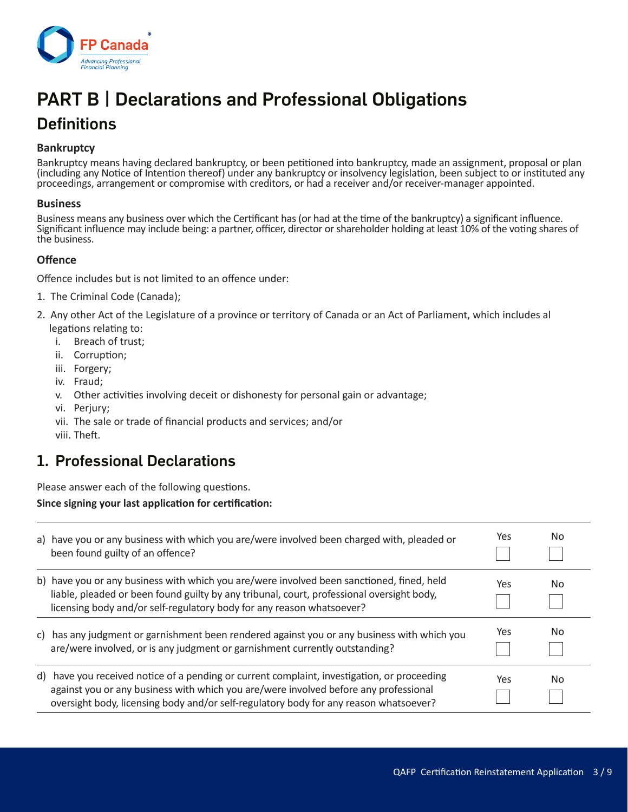

## PART B | Declarations and Professional Obligations

### **Definitions**

#### **Bankruptcy**

Bankruptcy means having declared bankruptcy, or been petitioned into bankruptcy, made an assignment, proposal or plan (including any Notice of Intention thereof) under any bankruptcy or insolvency legislation, been subject to or instituted any proceedings, arrangement or compromise with creditors, or had a receiver and/or receiver-manager appointed.

#### **Business**

Business means any business over which the Certificant has (or had at the time of the bankruptcy) a significant influence. Significant influence may include being: a partner, officer, director or shareholder holding at least 10% of the voting shares of the business.

#### **Offence**

Offence includes but is not limited to an offence under:

- 1. The Criminal Code (Canada);
- 2. Any other Act of the Legislature of a province or territory of Canada or an Act of Parliament, which includes al legations relating to:
	- i. Breach of trust;
	- ii. Corruption;
	- iii. Forgery;
	- iv. Fraud;
	- v. Other activities involving deceit or dishonesty for personal gain or advantage;
	- vi. Perjury;
	- vii. The sale or trade of financial products and services; and/or
	- viii. Theft.

#### 1. Professional Declarations

Please answer each of the following questions.

#### **Since signing your last application for certification:**

| a) have you or any business with which you are/were involved been charged with, pleaded or<br>been found guilty of an offence?                                                                                                                                               | Yes | No |
|------------------------------------------------------------------------------------------------------------------------------------------------------------------------------------------------------------------------------------------------------------------------------|-----|----|
| b) have you or any business with which you are/were involved been sanctioned, fined, held<br>liable, pleaded or been found guilty by any tribunal, court, professional oversight body,<br>licensing body and/or self-regulatory body for any reason whatsoever?              | Yes | No |
| c) has any judgment or garnishment been rendered against you or any business with which you<br>are/were involved, or is any judgment or garnishment currently outstanding?                                                                                                   | Yes | No |
| d) have you received notice of a pending or current complaint, investigation, or proceeding<br>against you or any business with which you are/were involved before any professional<br>oversight body, licensing body and/or self-regulatory body for any reason whatsoever? | Yes | No |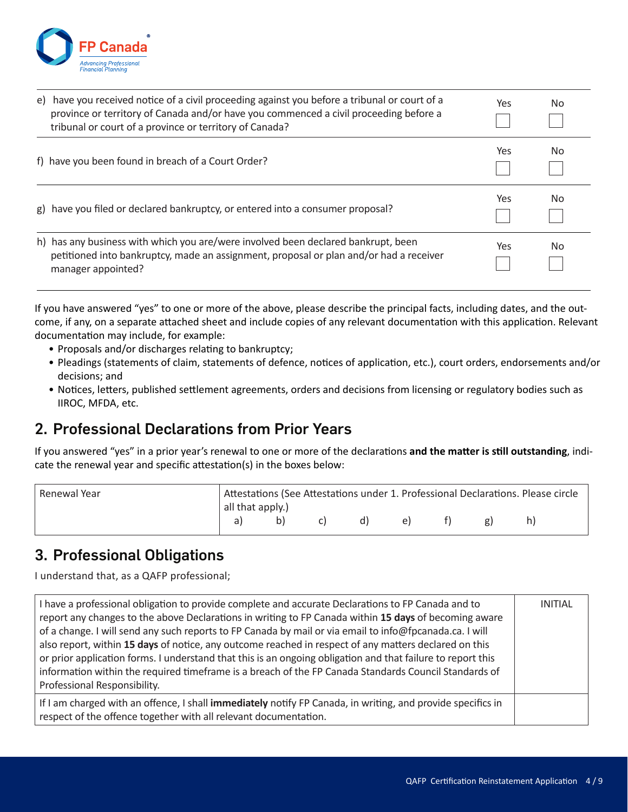

| e) | have you received notice of a civil proceeding against you before a tribunal or court of a<br>province or territory of Canada and/or have you commenced a civil proceeding before a<br>tribunal or court of a province or territory of Canada? | Yes | No |
|----|------------------------------------------------------------------------------------------------------------------------------------------------------------------------------------------------------------------------------------------------|-----|----|
|    | f) have you been found in breach of a Court Order?                                                                                                                                                                                             | Yes | No |
|    | g) have you filed or declared bankruptcy, or entered into a consumer proposal?                                                                                                                                                                 | Yes | No |
|    | h) has any business with which you are/were involved been declared bankrupt, been<br>petitioned into bankruptcy, made an assignment, proposal or plan and/or had a receiver<br>manager appointed?                                              | Yes | No |

If you have answered "yes" to one or more of the above, please describe the principal facts, including dates, and the outcome, if any, on a separate attached sheet and include copies of any relevant documentation with this application. Relevant documentation may include, for example:

- Proposals and/or discharges relating to bankruptcy;
- Pleadings (statements of claim, statements of defence, notices of application, etc.), court orders, endorsements and/or decisions; and
- Notices, letters, published settlement agreements, orders and decisions from licensing or regulatory bodies such as IIROC, MFDA, etc.

#### 2. Professional Declarations from Prior Years

If you answered "yes" in a prior year's renewal to one or more of the declarations **and the matter is still outstanding**, indicate the renewal year and specific attestation(s) in the boxes below:

| Renewal Year | Attestations (See Attestations under 1. Professional Declarations. Please circle |                  |  |  |    |  |  |  |
|--------------|----------------------------------------------------------------------------------|------------------|--|--|----|--|--|--|
|              |                                                                                  | all that apply.) |  |  |    |  |  |  |
|              | a)                                                                               | b)               |  |  | e) |  |  |  |

#### 3. Professional Obligations

I understand that, as a QAFP professional;

| I have a professional obligation to provide complete and accurate Declarations to FP Canada and to<br>report any changes to the above Declarations in writing to FP Canada within 15 days of becoming aware<br>of a change. I will send any such reports to FP Canada by mail or via email to info@fpcanada.ca. I will<br>also report, within 15 days of notice, any outcome reached in respect of any matters declared on this<br>or prior application forms. I understand that this is an ongoing obligation and that failure to report this<br>information within the required timeframe is a breach of the FP Canada Standards Council Standards of<br>Professional Responsibility. | <b>INITIAL</b> |
|-----------------------------------------------------------------------------------------------------------------------------------------------------------------------------------------------------------------------------------------------------------------------------------------------------------------------------------------------------------------------------------------------------------------------------------------------------------------------------------------------------------------------------------------------------------------------------------------------------------------------------------------------------------------------------------------|----------------|
| If I am charged with an offence, I shall immediately notify FP Canada, in writing, and provide specifics in<br>respect of the offence together with all relevant documentation.                                                                                                                                                                                                                                                                                                                                                                                                                                                                                                         |                |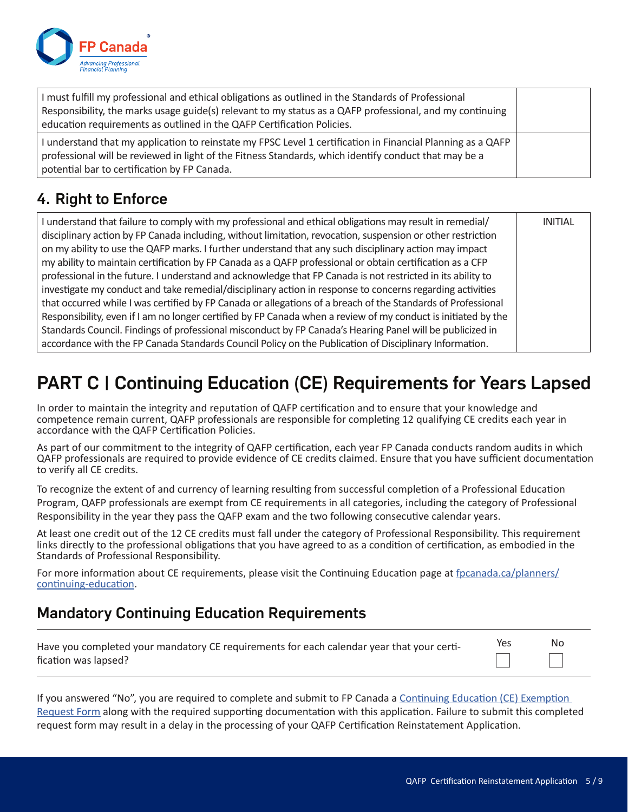

| I must fulfill my professional and ethical obligations as outlined in the Standards of Professional<br>Responsibility, the marks usage guide(s) relevant to my status as a QAFP professional, and my continuing<br>education requirements as outlined in the QAFP Certification Policies. |  |
|-------------------------------------------------------------------------------------------------------------------------------------------------------------------------------------------------------------------------------------------------------------------------------------------|--|
| I understand that my application to reinstate my FPSC Level 1 certification in Financial Planning as a QAFP<br>professional will be reviewed in light of the Fitness Standards, which identify conduct that may be a<br>potential bar to certification by FP Canada.                      |  |

### 4. Right to Enforce

| I understand that failure to comply with my professional and ethical obligations may result in remedial/      | <b>INITIAL</b> |
|---------------------------------------------------------------------------------------------------------------|----------------|
| disciplinary action by FP Canada including, without limitation, revocation, suspension or other restriction   |                |
| on my ability to use the QAFP marks. I further understand that any such disciplinary action may impact        |                |
| my ability to maintain certification by FP Canada as a QAFP professional or obtain certification as a CFP     |                |
| professional in the future. I understand and acknowledge that FP Canada is not restricted in its ability to   |                |
| investigate my conduct and take remedial/disciplinary action in response to concerns regarding activities     |                |
| that occurred while I was certified by FP Canada or allegations of a breach of the Standards of Professional  |                |
| Responsibility, even if I am no longer certified by FP Canada when a review of my conduct is initiated by the |                |
| Standards Council. Findings of professional misconduct by FP Canada's Hearing Panel will be publicized in     |                |
| accordance with the FP Canada Standards Council Policy on the Publication of Disciplinary Information.        |                |

## PART C | Continuing Education (CE) Requirements for Years Lapsed

In order to maintain the integrity and reputation of QAFP certification and to ensure that your knowledge and competence remain current, QAFP professionals are responsible for completing 12 qualifying CE credits each year in accordance with the QAFP Certification Policies.

As part of our commitment to the integrity of QAFP certification, each year FP Canada conducts random audits in which QAFP professionals are required to provide evidence of CE credits claimed. Ensure that you have sufficient documentation to verify all CE credits.

To recognize the extent of and currency of learning resulting from successful completion of a Professional Education Program, QAFP professionals are exempt from CE requirements in all categories, including the category of Professional Responsibility in the year they pass the QAFP exam and the two following consecutive calendar years.

At least one credit out of the 12 CE credits must fall under the category of Professional Responsibility. This requirement links directly to the professional obligations that you have agreed to as a condition of certification, as embodied in the Standards of Professional Responsibility.

For more information about CE requirements, please visit the Continuing Education page at fpcanada.ca/planners/ continuing-education.

### Mandatory Continuing Education Requirements

| Have you completed your mandatory CE requirements for each calendar year that your certi- | Yes | No |
|-------------------------------------------------------------------------------------------|-----|----|
| fication was lapsed?                                                                      |     |    |

If you answered "No", you are required to complete and submit to FP Canada a Continuing Education (CE) Exemption Request Form along with the required supporting documentation with this application. Failure to submit this completed request form may result in a delay in the processing of your QAFP Certification Reinstatement Application.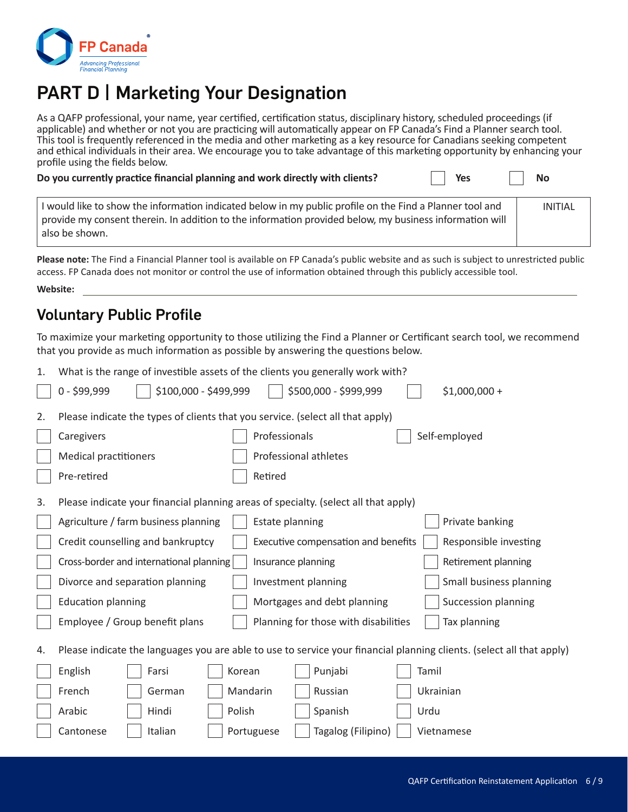

## PART D | Marketing Your Designation

As a QAFP professional, your name, year certified, certification status, disciplinary history, scheduled proceedings (if applicable) and whether or not you are practicing will automatically appear on FP Canada's Find a Planner search tool. This tool is frequently referenced in the media and other marketing as a key resource for Canadians seeking competent and ethical individuals in their area. We encourage you to take advantage of this marketing opportunity by enhancing your profile using the fields below.

| Do you currently practice financial planning and work directly with clients?                             | Yes | <b>No</b> |
|----------------------------------------------------------------------------------------------------------|-----|-----------|
| I would like to show the information indicated below in my public profile on the Find a Planner tool and |     | INITIAL   |

| l would like to show the information indicated below in my public profile on the Find a Planner tool and | INITIAL |
|----------------------------------------------------------------------------------------------------------|---------|
| provide my consent therein. In addition to the information provided below, my business information will  |         |
| also be shown.                                                                                           |         |

**Please note:** The Find a Financial Planner tool is available on FP Canada's public website and as such is subject to unrestricted public access. FP Canada does not monitor or control the use of information obtained through this publicly accessible tool.

**Website:**

#### Voluntary Public Profile

To maximize your marketing opportunity to those utilizing the Find a Planner or Certificant search tool, we recommend that you provide as much information as possible by answering the questions below.

| 1. | What is the range of investible assets of the clients you generally work with?                                        |                                                              |  |  |
|----|-----------------------------------------------------------------------------------------------------------------------|--------------------------------------------------------------|--|--|
|    | \$100,000 - \$499,999<br>$0 - $99,999$                                                                                | \$500,000 - \$999,999<br>$$1,000,000 +$                      |  |  |
| 2. | Please indicate the types of clients that you service. (select all that apply)                                        |                                                              |  |  |
|    | Caregivers<br>Professionals                                                                                           | Self-employed                                                |  |  |
|    | <b>Medical practitioners</b><br>Professional athletes                                                                 |                                                              |  |  |
|    | Retired<br>Pre-retired                                                                                                |                                                              |  |  |
| 3. | Please indicate your financial planning areas of specialty. (select all that apply)                                   |                                                              |  |  |
|    | Agriculture / farm business planning<br>Estate planning                                                               | Private banking                                              |  |  |
|    | Credit counselling and bankruptcy                                                                                     | Executive compensation and benefits<br>Responsible investing |  |  |
|    | Cross-border and international planning<br>Insurance planning                                                         | Retirement planning                                          |  |  |
|    | Divorce and separation planning<br>Investment planning                                                                | Small business planning                                      |  |  |
|    | <b>Education planning</b><br>Mortgages and debt planning                                                              | Succession planning                                          |  |  |
|    | Employee / Group benefit plans                                                                                        | Planning for those with disabilities<br>Tax planning         |  |  |
| 4. | Please indicate the languages you are able to use to service your financial planning clients. (select all that apply) |                                                              |  |  |
|    | English<br>Farsi<br>Korean                                                                                            | Punjabi<br>Tamil                                             |  |  |
|    | French<br>Mandarin<br>German                                                                                          | Ukrainian<br>Russian                                         |  |  |
|    | Polish<br>Arabic<br>Hindi                                                                                             | Spanish<br>Urdu                                              |  |  |
|    | Italian<br>Cantonese<br>Portuguese                                                                                    | Tagalog (Filipino)<br>Vietnamese                             |  |  |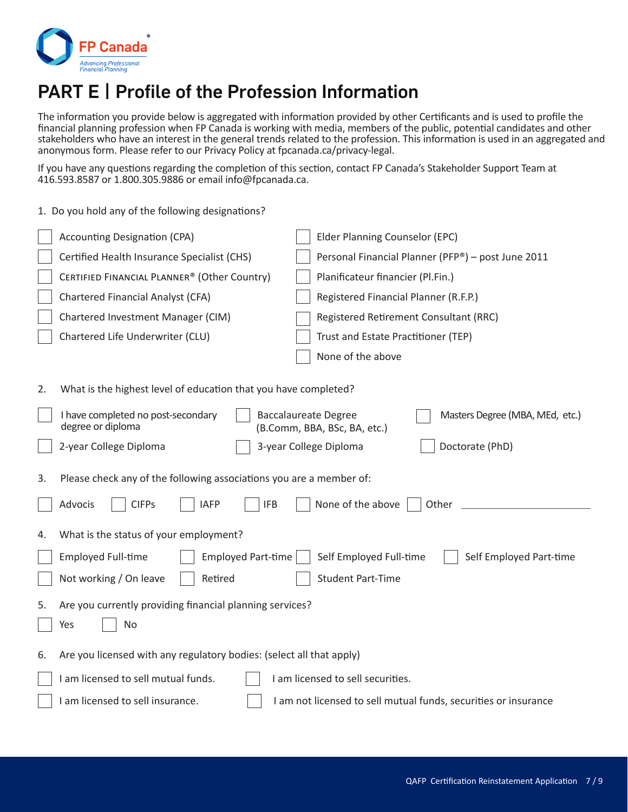

## PART E | Profile of the Profession Information

The information you provide below is aggregated with information provided by other Certificants and is used to profile the financial planning profession when FP Canada is working with media, members of the public, potential candidates and other stakeholders who have an interest in the general trends related to the profession. This information is used in an aggregated and anonymous form. Please refer to our Privacy Policy at fpcanada.ca/privacy-legal.

If you have any questions regarding the completion of this section, contact FP Canada's Stakeholder Support Team at 416.593.8587 or 1.800.305.9886 or email info@fpcanada.ca.

|    | 1. Do you hold any of the following designations?                                                                      |                                                    |  |  |
|----|------------------------------------------------------------------------------------------------------------------------|----------------------------------------------------|--|--|
|    | <b>Accounting Designation (CPA)</b>                                                                                    | Elder Planning Counselor (EPC)                     |  |  |
|    | Certified Health Insurance Specialist (CHS)                                                                            | Personal Financial Planner (PFP®) - post June 2011 |  |  |
|    | CERTIFIED FINANCIAL PLANNER® (Other Country)                                                                           | Planificateur financier (Pl.Fin.)                  |  |  |
|    | Chartered Financial Analyst (CFA)                                                                                      | Registered Financial Planner (R.F.P.)              |  |  |
|    | Chartered Investment Manager (CIM)                                                                                     | Registered Retirement Consultant (RRC)             |  |  |
|    | Chartered Life Underwriter (CLU)                                                                                       | Trust and Estate Practitioner (TEP)                |  |  |
|    |                                                                                                                        | None of the above                                  |  |  |
| 2. | What is the highest level of education that you have completed?                                                        |                                                    |  |  |
|    | I have completed no post-secondary<br><b>Baccalaureate Degree</b><br>degree or diploma<br>(B.Comm, BBA, BSc, BA, etc.) | Masters Degree (MBA, MEd, etc.)                    |  |  |
|    | 2-year College Diploma<br>3-year College Diploma                                                                       | Doctorate (PhD)                                    |  |  |
| 3. | Please check any of the following associations you are a member of:                                                    |                                                    |  |  |
|    | <b>CIFPs</b><br><b>IFB</b><br>Advocis<br><b>IAFP</b>                                                                   | None of the above<br>Other                         |  |  |
| 4. | What is the status of your employment?                                                                                 |                                                    |  |  |
|    | <b>Employed Full-time</b><br><b>Employed Part-time</b>                                                                 | Self Employed Full-time<br>Self Employed Part-time |  |  |
|    | Not working / On leave<br>Retired                                                                                      | <b>Student Part-Time</b>                           |  |  |
| 5. | Are you currently providing financial planning services?                                                               |                                                    |  |  |
|    | No<br>Yes                                                                                                              |                                                    |  |  |
| 6. | Are you licensed with any regulatory bodies: (select all that apply)                                                   |                                                    |  |  |
|    | I am licensed to sell mutual funds.<br>I am licensed to sell securities.                                               |                                                    |  |  |
|    | I am licensed to sell insurance.<br>I am not licensed to sell mutual funds, securities or insurance                    |                                                    |  |  |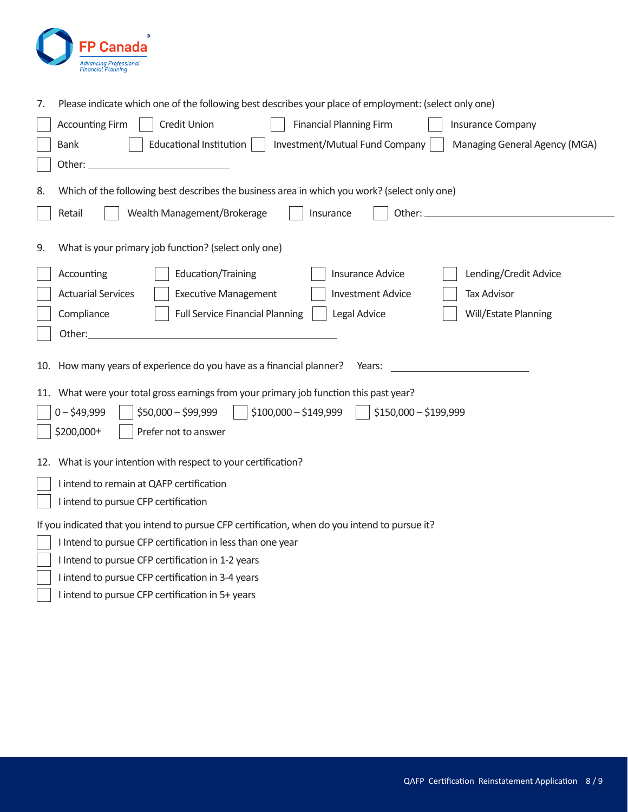

| 7.                                                                | Please indicate which one of the following best describes your place of employment: (select only one)                                                                   |  |  |  |  |
|-------------------------------------------------------------------|-------------------------------------------------------------------------------------------------------------------------------------------------------------------------|--|--|--|--|
|                                                                   | <b>Accounting Firm</b><br>Credit Union<br><b>Financial Planning Firm</b><br><b>Insurance Company</b>                                                                    |  |  |  |  |
|                                                                   | <b>Bank</b><br><b>Educational Institution</b><br>Investment/Mutual Fund Company<br>Managing General Agency (MGA)                                                        |  |  |  |  |
|                                                                   | Other:                                                                                                                                                                  |  |  |  |  |
| 8.                                                                | Which of the following best describes the business area in which you work? (select only one)                                                                            |  |  |  |  |
|                                                                   | Wealth Management/Brokerage<br>Retail<br>Other:<br>Insurance                                                                                                            |  |  |  |  |
| 9.                                                                | What is your primary job function? (select only one)                                                                                                                    |  |  |  |  |
|                                                                   | <b>Insurance Advice</b><br>Lending/Credit Advice<br>Accounting<br>Education/Training                                                                                    |  |  |  |  |
|                                                                   | <b>Actuarial Services</b><br><b>Executive Management</b><br><b>Tax Advisor</b><br><b>Investment Advice</b>                                                              |  |  |  |  |
|                                                                   | Compliance<br><b>Full Service Financial Planning</b><br>Legal Advice<br>Will/Estate Planning                                                                            |  |  |  |  |
|                                                                   | Other:                                                                                                                                                                  |  |  |  |  |
| 11.                                                               | How many years of experience do you have as a financial planner?<br>Years:<br>10.<br>What were your total gross earnings from your primary job function this past year? |  |  |  |  |
|                                                                   | $0 - $49,999$<br>$$50,000 - $99,999$<br>$$100,000 - $149,999$<br>\$150,000 - \$199,999                                                                                  |  |  |  |  |
| \$200,000+<br>Prefer not to answer                                |                                                                                                                                                                         |  |  |  |  |
|                                                                   |                                                                                                                                                                         |  |  |  |  |
| What is your intention with respect to your certification?<br>12. |                                                                                                                                                                         |  |  |  |  |
|                                                                   | I intend to remain at QAFP certification                                                                                                                                |  |  |  |  |
|                                                                   | I intend to pursue CFP certification                                                                                                                                    |  |  |  |  |
|                                                                   | If you indicated that you intend to pursue CFP certification, when do you intend to pursue it?                                                                          |  |  |  |  |
|                                                                   | I Intend to pursue CFP certification in less than one year                                                                                                              |  |  |  |  |
|                                                                   | I Intend to pursue CFP certification in 1-2 years                                                                                                                       |  |  |  |  |
|                                                                   | I intend to pursue CFP certification in 3-4 years                                                                                                                       |  |  |  |  |
|                                                                   | I intend to pursue CFP certification in 5+ years                                                                                                                        |  |  |  |  |